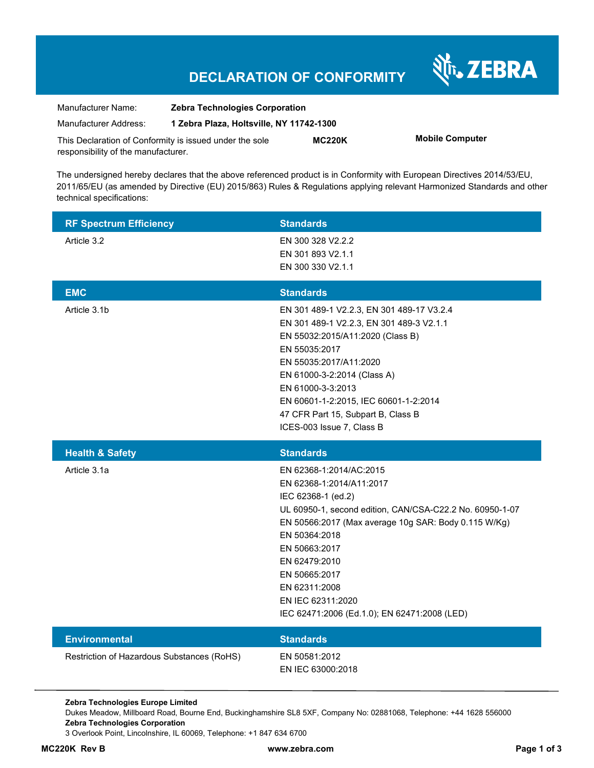Nr. ZEBRA

| Manufacturer Name:                                      | <b>Zebra Technologies Corporation</b>    |               |                        |
|---------------------------------------------------------|------------------------------------------|---------------|------------------------|
| Manufacturer Address:                                   | 1 Zebra Plaza, Holtsville, NY 11742-1300 |               |                        |
| This Declaration of Conformity is issued under the sole |                                          | <b>MC220K</b> | <b>Mobile Computer</b> |
| responsibility of the manufacturer.                     |                                          |               |                        |

The undersigned hereby declares that the above referenced product is in Conformity with European Directives 2014/53/EU, 2011/65/EU (as amended by Directive (EU) 2015/863) Rules & Regulations applying relevant Harmonized Standards and other technical specifications:

| <b>RF Spectrum Efficiency</b><br>Article 3.2 | <b>Standards</b><br>EN 300 328 V2.2.2<br>EN 301 893 V2.1.1<br>EN 300 330 V2.1.1                                                                                                                                                                                                                                                      |
|----------------------------------------------|--------------------------------------------------------------------------------------------------------------------------------------------------------------------------------------------------------------------------------------------------------------------------------------------------------------------------------------|
| <b>EMC</b>                                   | <b>Standards</b>                                                                                                                                                                                                                                                                                                                     |
| Article 3.1b                                 | EN 301 489-1 V2.2.3, EN 301 489-17 V3.2.4<br>EN 301 489-1 V2.2.3, EN 301 489-3 V2.1.1<br>EN 55032:2015/A11:2020 (Class B)<br>EN 55035:2017<br>EN 55035:2017/A11:2020<br>EN 61000-3-2:2014 (Class A)<br>EN 61000-3-3:2013<br>EN 60601-1-2:2015, IEC 60601-1-2:2014<br>47 CFR Part 15, Subpart B, Class B<br>ICES-003 Issue 7, Class B |
| <b>Health &amp; Safety</b>                   | <b>Standards</b>                                                                                                                                                                                                                                                                                                                     |
| Article 3.1a                                 | EN 62368-1:2014/AC:2015<br>EN 62368-1:2014/A11:2017<br>IEC 62368-1 (ed.2)<br>UL 60950-1, second edition, CAN/CSA-C22.2 No. 60950-1-07<br>EN 50566:2017 (Max average 10g SAR: Body 0.115 W/Kg)<br>EN 50364:2018<br>EN 50663:2017<br>EN 62479:2010<br>EN 50665:2017<br>EN 62311:2008                                                   |
|                                              | EN IEC 62311:2020<br>IEC 62471:2006 (Ed.1.0); EN 62471:2008 (LED)                                                                                                                                                                                                                                                                    |
| <b>Environmental</b>                         | <b>Standards</b>                                                                                                                                                                                                                                                                                                                     |

**Zebra Technologies Europe Limited** 

Dukes Meadow, Millboard Road, Bourne End, Buckinghamshire SL8 5XF, Company No: 02881068, Telephone: +44 1628 556000 **Zebra Technologies Corporation** 

3 Overlook Point, Lincolnshire, IL 60069, Telephone: +1 847 634 6700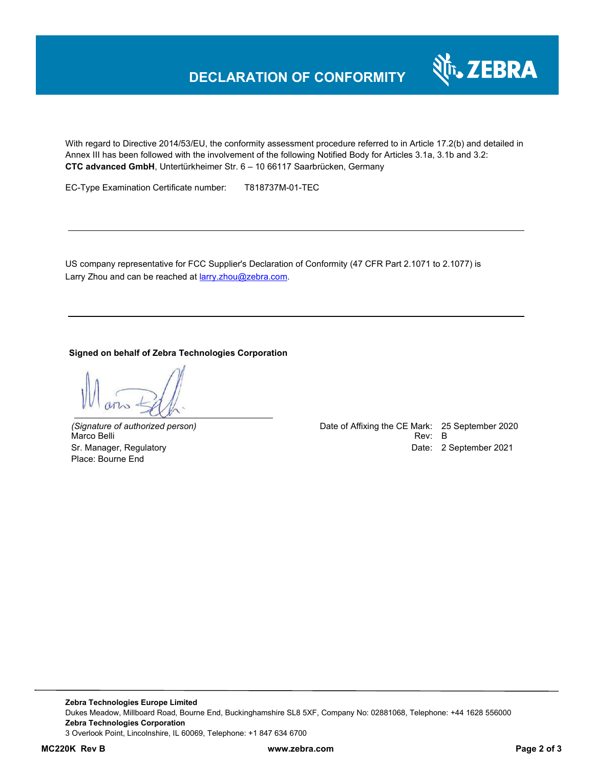

With regard to Directive 2014/53/EU, the conformity assessment procedure referred to in Article 17.2(b) and detailed in Annex III has been followed with the involvement of the following Notified Body for Articles 3.1a, 3.1b and 3.2: **CTC advanced GmbH**, Untertürkheimer Str. 6 – 10 66117 Saarbrücken, Germany

EC-Type Examination Certificate number: T818737M-01-TEC

US company representative for FCC Supplier's Declaration of Conformity (47 CFR Part 2.1071 to 2.1077) is Larry Zhou and can be reached at **larry**.zhou@zebra.com.

#### **Signed on behalf of Zebra Technologies Corporation**

Place: Bourne End

*(Signature of authorized person)* Date of Affixing the CE Mark: 25 September 2020 Marco Belli **Rev:** B Sr. Manager, Regulatory **Date: 2 September 2021**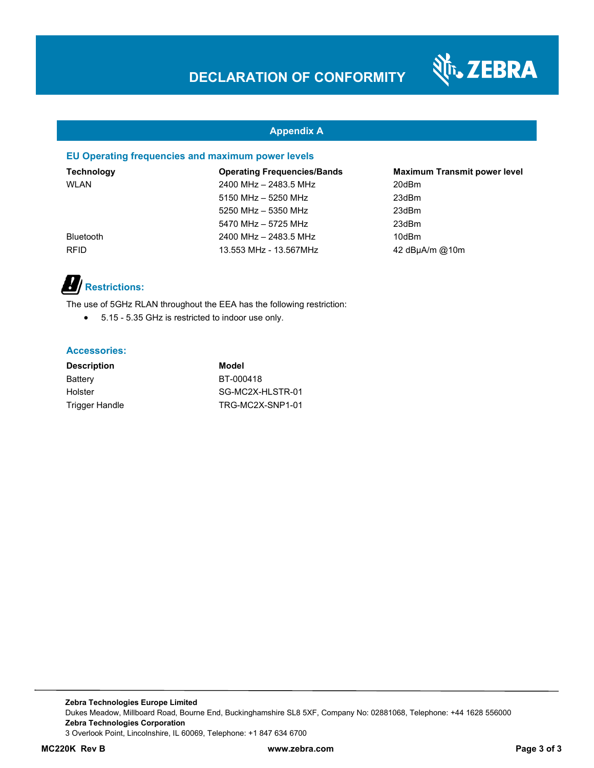

### **Appendix A**

#### **EU Operating frequencies and maximum power levels**

**Technology Operating Frequencies/Bands Maximum Transmit power level**  WLAN 2400 MHz – 2483.5 MHz 20dBm 5150 MHz – 5250 MHz 23dBm 5250 MHz – 5350 MHz 23dBm 5470 MHz – 5725 MHz 23dBm Bluetooth 2400 MHz – 2483.5 MHz 10dBm RFID 13.553 MHz - 13.567MHz 42 dBµA/m @10m

# *Restrictions:*

The use of 5GHz RLAN throughout the EEA has the following restriction:

5.15 - 5.35 GHz is restricted to indoor use only.

#### **Accessories:**

| <b>Description</b> | Model            |
|--------------------|------------------|
| Battery            | BT-000418        |
| Holster            | SG-MC2X-HLSTR-01 |
| Trigger Handle     | TRG-MC2X-SNP1-01 |

**Zebra Technologies Europe Limited**  Dukes Meadow, Millboard Road, Bourne End, Buckinghamshire SL8 5XF, Company No: 02881068, Telephone: +44 1628 556000 **Zebra Technologies Corporation**  3 Overlook Point, Lincolnshire, IL 60069, Telephone: +1 847 634 6700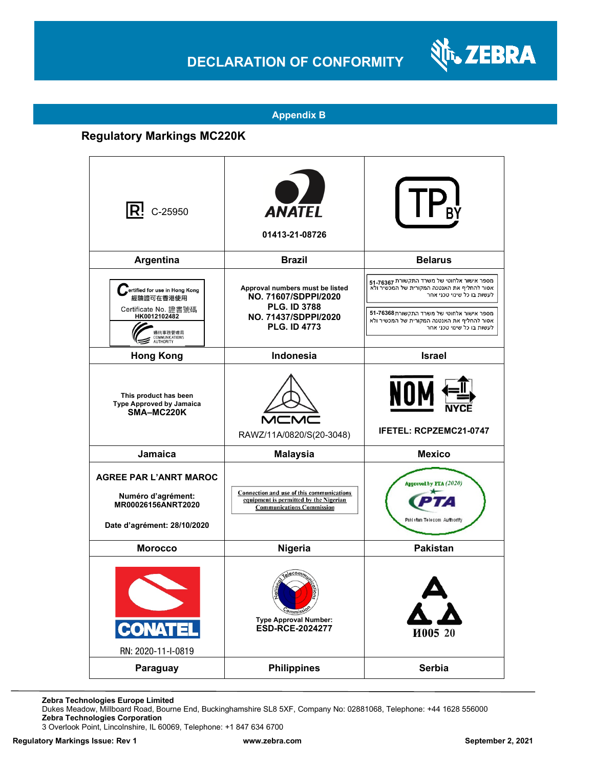

#### **Appendix B**

### **Regulatory Markings MC220K**

| $ {\bf R}$ ! C-25950                                                                                                                       | <b>ANATEL</b><br>01413-21-08726                                                                                               |                                                                                                                                                                                                                                                    |
|--------------------------------------------------------------------------------------------------------------------------------------------|-------------------------------------------------------------------------------------------------------------------------------|----------------------------------------------------------------------------------------------------------------------------------------------------------------------------------------------------------------------------------------------------|
| Argentina                                                                                                                                  | <b>Brazil</b>                                                                                                                 | <b>Belarus</b>                                                                                                                                                                                                                                     |
| ertified for use in Hong Kong<br>經驗證可在香港使用<br>Certificate No. 證書號碼<br>HK0012102482<br><b>[訊事務管理局</b><br>COMMUNICATIONS<br><b>AUTHORITY</b> | Approval numbers must be listed<br>NO. 71607/SDPPI/2020<br><b>PLG. ID 3788</b><br>NO. 71437/SDPPI/2020<br><b>PLG. ID 4773</b> | מספר אישור אלחוטי של משרד התקשורת 51-76367<br>אסור להחליף את האנטנה המקורית של המכשיר ולא<br>לעשות בו כל שינוי טכני אחר<br>מספר אישור אלחוטי של משרד התקשורת 76368-51<br>אסור להחליף את האנטנה המקורית של המכשיר ולא<br>לעשות בו כל שינוי טכני אחר |
| <b>Hong Kong</b>                                                                                                                           | Indonesia                                                                                                                     | <b>Israel</b>                                                                                                                                                                                                                                      |
| This product has been<br><b>Type Approved by Jamaica</b><br>SMA-MC220K                                                                     | RAWZ/11A/0820/S(20-3048)                                                                                                      | <b>IFETEL: RCPZEMC21-0747</b>                                                                                                                                                                                                                      |
| Jamaica                                                                                                                                    | <b>Malaysia</b>                                                                                                               | <b>Mexico</b>                                                                                                                                                                                                                                      |
| <b>AGREE PAR L'ANRT MAROC</b><br>Numéro d'agrément:<br>MR00026156ANRT2020<br>Date d'agrément: 28/10/2020                                   | Connection and use of this communications<br>equipment is permitted by the Nigerian<br><b>Communications Commission</b>       | Approved by PTA (2020)<br>Paki stan Telecom Authority                                                                                                                                                                                              |
| <b>Morocco</b>                                                                                                                             | <b>Nigeria</b>                                                                                                                | <b>Pakistan</b>                                                                                                                                                                                                                                    |
| <b>CONATEL</b><br>RN: 2020-11-I-0819                                                                                                       | 뮌<br>commiss!<br><b>Type Approval Number:</b><br>ESD-RCE-2024277                                                              | И005 20                                                                                                                                                                                                                                            |
| Paraguay                                                                                                                                   | <b>Philippines</b>                                                                                                            | <b>Serbia</b>                                                                                                                                                                                                                                      |

**Zebra Technologies Europe Limited**

Dukes Meadow, Millboard Road, Bourne End, Buckinghamshire SL8 5XF, Company No: 02881068, Telephone: +44 1628 556000 **Zebra Technologies Corporation** 

3 Overlook Point, Lincolnshire, IL 60069, Telephone: +1 847 634 6700